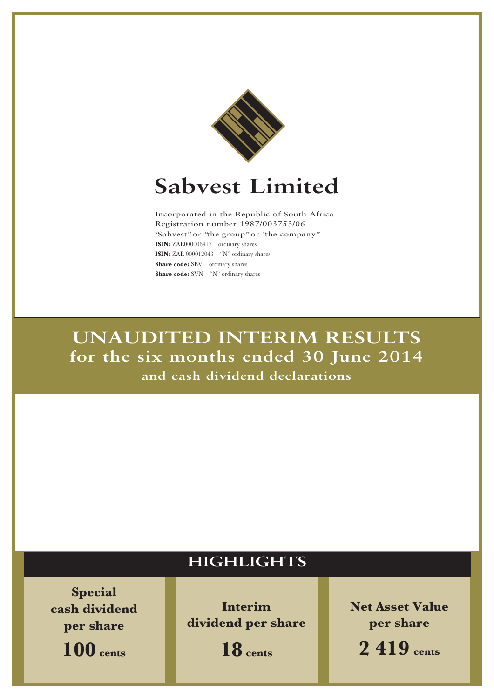

# **Sabvest Limited**

Incorporated in the Republic of South Africa Registration number 1987/003753/06 "Sabvest" or "the group" or "the company" **ISIN:** ZAE000006417 – ordinary shares **ISIN:** ZAE  $000012043 - "N"$  ordinary shares **Share code:** SBV – ordinary shares **Share code:** SVN – "N" ordinary shares

**UNAUDITED INTERIM RESULTS for the six months ended 30 June 2014 and cash dividend declarations** 

# **HIGHLIGHTS**

**Special cash dividend per share 100 cents**

**Interim dividend per share**

**18 cents**

**Net Asset Value per share**

**2 419 cents**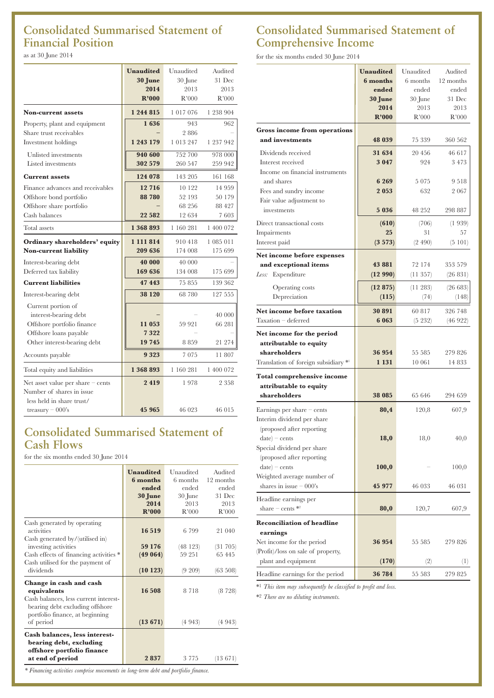## **Consolidated Summarised Statement of Financial Position**

as at 30 June 2014

|                                                                                                                     | <b>Unaudited</b><br>30 June<br>2014<br>R'000 | Unaudited<br>30 June<br>2013<br>R'000 | Audited<br>31 Dec<br>2013<br>R'000 |
|---------------------------------------------------------------------------------------------------------------------|----------------------------------------------|---------------------------------------|------------------------------------|
| <b>Non-current assets</b>                                                                                           | 1 244 815                                    | 1 017 076                             | 1 238 904                          |
| Property, plant and equipment<br>Share trust receivables<br>Investment holdings                                     | 1636<br>1 243 179                            | 943<br>2886<br>1013247                | 962<br>1 237 942                   |
| Unlisted investments<br>Listed investments                                                                          | 940 600<br>302 579                           | 752 700<br>260 547                    | 978 000<br>259 942                 |
| <b>Current assets</b>                                                                                               | 124 078                                      | 143 205                               | 161 168                            |
| Finance advances and receivables<br>Offshore bond portfolio<br>Offshore share portfolio<br>Cash balances            | 12716<br>88 780<br>22 5 8 2                  | 10 122<br>52 193<br>68 256<br>12 634  | 14 959<br>50 179<br>88 427<br>7603 |
| Total assets                                                                                                        | 1 368 893                                    | 1 160 281                             | 1 400 072                          |
| Ordinary shareholders' equity<br><b>Non-current liability</b>                                                       | 1 111 814<br>209 636                         | 910418<br>174 008                     | 1 085 011<br>175 699               |
| Interest-bearing debt<br>Deferred tax liability                                                                     | 40 000<br>169 636                            | 40 000<br>134 008                     | 175 699                            |
| <b>Current liabilities</b>                                                                                          | 47 443                                       | 75 855                                | 139 362                            |
| Interest-bearing debt<br>Current portion of                                                                         | 38 1 20                                      | 68 780                                | 127 555                            |
| interest-bearing debt<br>Offshore portfolio finance<br>Offshore loans payable<br>Other interest-bearing debt        | 11 053<br>7322<br>19745                      | 59 921<br>8859                        | 40 000<br>66 281<br>21 274         |
| Accounts payable                                                                                                    | 9 3 2 3                                      | 7075                                  | 11 807                             |
| Total equity and liabilities                                                                                        | 1 368 893                                    | 1 160 281                             | 1 400 072                          |
| Net asset value per share $-$ cents<br>Number of shares in issue<br>less held in share trust/<br>treasury $-000$ 's | 2 4 1 9<br>45 965                            | 1978<br>46 023                        | 2 3 5 8<br>46 015                  |

### **Consolidated Summarised Statement of Cash Flows**

for the six months ended 30 June 2014

|                                                                                                                                                                                                 | <b>Unaudited</b><br>6 months<br>ended<br>30 June<br>2014<br>R'000 | Unaudited<br>6 months<br>ended<br>30 June<br>2013<br>R'000 | Audited<br>12 months<br>ended<br>31 Dec<br>2013<br>R'000 |
|-------------------------------------------------------------------------------------------------------------------------------------------------------------------------------------------------|-------------------------------------------------------------------|------------------------------------------------------------|----------------------------------------------------------|
| Cash generated by operating<br>activities<br>Cash generated by/(utilised in)<br>investing activities<br>Cash effects of financing activities *<br>Cash utilised for the payment of<br>dividends | 16 5 19<br>59 176<br>(49064)<br>(10123)                           | 6 7 9 9<br>$(48\;123)$<br>59 251<br>(9 209)                | 21 040<br>(31705)<br>65 4 45<br>(63 508)                 |
| Change in cash and cash<br>equivalents<br>Cash balances, less current interest-<br>bearing debt excluding offshore<br>portfolio finance, at beginning<br>of period                              | 16 508<br>(13 671)                                                | 8 7 1 8<br>(4943)                                          | (8728)<br>(4943)                                         |
| Cash balances, less interest-<br>bearing debt, excluding<br>offshore portfolio finance<br>at end of period                                                                                      | 2 8 3 7                                                           | 3 7 7 5                                                    | (13 671)                                                 |

### **Consolidated Summarised Statement of Comprehensive Income**

for the six months ended 30 June 2014

|                                         | <b>Unaudited</b> | Unaudited   | Audited   |
|-----------------------------------------|------------------|-------------|-----------|
|                                         | 6 months         | 6 months    | 12 months |
|                                         | ended            | ended       | ended     |
|                                         | 30 June          | 30 June     | 31 Dec    |
|                                         | 2014             | 2013        | 2013      |
|                                         | R'000            | R'000       | R'000     |
| <b>Gross income from operations</b>     |                  |             |           |
| and investments                         | 48 039           | 75 339      | 360 562   |
| Dividends received                      | 31 634           | 20 456      | 46 617    |
| Interest received                       | 3 0 4 7          | 924         | 3 4 7 3   |
| Income on financial instruments         |                  |             |           |
| and shares                              | 6 2 6 9          | 5 0 7 5     | 9518      |
| Fees and sundry income                  | 2053             | 632         | 2 0 6 7   |
| Fair value adjustment to<br>investments | 5 0 36           | 48 252      |           |
|                                         |                  |             | 298 887   |
| Direct transactional costs              | (610)            | (706)       | (1939)    |
| Impairments                             | 25               | 31          | 57        |
| Interest paid                           | (3573)           | (2490)      | (5101)    |
| Net income before expenses              |                  |             |           |
| and exceptional items                   | 43881            | 72 174      | 353 579   |
| Less:<br>Expenditure                    | (12990)          | (11357)     | (26831)   |
| Operating costs                         | (12875)          | $(11\;283)$ | (26683)   |
| Depreciation                            | (115)            | (74)        | (148)     |
| Net income before taxation              | 30 891           | 60 817      | 326 748   |
| Taxation - deferred                     | 6 0 6 3          | (5 232)     | (46922)   |
| Net income for the period               |                  |             |           |
| attributable to equity                  |                  |             |           |
| shareholders                            | 36 954           | 55 585      | 279 826   |
| Translation of foreign subsidiary *1    | 1 1 3 1          | 10 061      | 14 833    |
| <b>Total comprehensive income</b>       |                  |             |           |
| attributable to equity                  |                  |             |           |
| shareholders                            | 38 085           | 65 646      | 294 659   |
| Earnings per share – cents              | 80,4             | 120,8       | 607,9     |
| Interim dividend per share              |                  |             |           |
| (proposed after reporting               |                  |             |           |
| $date$ – cents                          | 18,0             | 18,0        | 40,0      |
| Special dividend per share              |                  |             |           |
| (proposed after reporting               |                  |             |           |
| $date$ – cents                          | 100,0            |             | 100,0     |
| Weighted average number of              |                  |             |           |
| shares in issue $-000$ 's               | 45 977           | 46 033      | 46 031    |
| Headline earnings per                   |                  |             |           |
| share – cents $*$ <sup>2</sup>          | 80,0             | 120,7       | 607,9     |
| <b>Reconciliation of headline</b>       |                  |             |           |
| earnings                                |                  |             |           |
| Net income for the period               | 36 954           | 55 585      | 279 826   |
| (Profit)/loss on sale of property,      |                  |             |           |
| plant and equipment                     | (170)            | (2)         | (1)       |
| Headline earnings for the period        | 36 784           | 55 583      | 279 825   |

\*1 *This item may subsequently be classified to profit and loss.*

\*2 *There are no diluting instruments.*

*\* Financing activities comprise movements in long-term debt and portfolio finance.*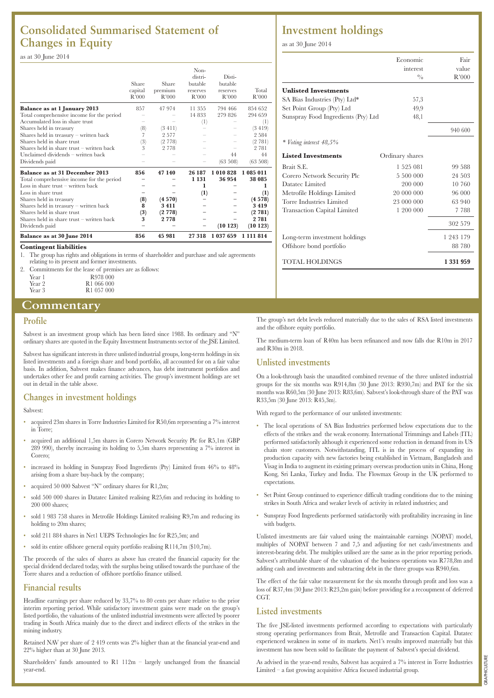### **Consolidated Summarised Statement of Changes in Equity**

### as at 30 June 2014

|                                             | Share<br>capital<br>R'000 | Share<br>premium<br>R'000 | Non-<br>distri-<br>butable<br>reserves<br>R'000 | Disti-<br>butable<br>reserves<br>R'000 | Total<br>R'000    |
|---------------------------------------------|---------------------------|---------------------------|-------------------------------------------------|----------------------------------------|-------------------|
| Balance as at 1 January 2013                | 857                       | 47 974                    | 11 355                                          | 794 466                                | 854 652           |
| Total comprehensive income for the period   |                           |                           | 14833                                           | 279 826                                | 294 659           |
| Accumulated loss in share trust             |                           |                           | $\left(1\right)$                                |                                        | $\left( 1\right)$ |
| Shares held in treasury                     | (8)                       | (3411)                    |                                                 |                                        | (3 419)           |
| Shares held in treasury - written back      | 7                         | 2577                      |                                                 |                                        | 2 5 8 4           |
| Shares held in share trust                  | (3)                       | (2778)                    |                                                 |                                        | (2781)            |
| Shares held in share trust $-$ written back | 3                         | 2 7 7 8                   |                                                 |                                        | 2 7 8 1           |
| Unclaimed dividends - written back          |                           |                           |                                                 | 44                                     | 44                |
| Dividends paid                              |                           |                           |                                                 | (63, 508)                              | (63 508)          |
| <b>Balance as at 31 December 2013</b>       | 856                       | 47 140                    | 26 187                                          | 1010828                                | 1 085 011         |
| Total comprehensive income for the period   |                           |                           | 1 1 3 1                                         | 36954                                  | 38 085            |
| Loss in share trust $-$ written back        |                           |                           | 1                                               |                                        | 1                 |
| Loss in share trust                         |                           |                           | $\bf(1)$                                        |                                        | (1)               |
| Shares held in treasury                     | (8)                       | (4570)                    |                                                 |                                        | (4578)            |
| Shares held in treasury - written back      | 8                         | 3411                      |                                                 |                                        | 3419              |
| Shares held in share trust                  | (3)                       | (2778)                    |                                                 |                                        | (2781)            |
| Shares held in share trust - written back   | 3                         | 2 7 7 8                   |                                                 |                                        | 2781              |
| Dividends paid                              |                           |                           |                                                 | (10123)                                | (10123)           |
| Balance as at 30 June 2014                  | 856                       | 45 981                    | 27318                                           | 1 037 659                              | 1 1 1 1 8 1 4     |

#### **Contingent liabilities**

1. The group has rights and obligations in terms of shareholder and purchase and sale agreements relating to its present and former investments.

2. Commitments for the lease of premises are as follows:

| Year 1 | R978 000                |
|--------|-------------------------|
| Year 2 | R <sub>1</sub> 066 000  |
| Year 3 | R <sub>1</sub> 0.57 000 |

### **Commentary**

### **Profile**

Sabvest is an investment group which has been listed since 1988. Its ordinary and "N" ordinary shares are quoted in the Equity Investment Instruments sector of the JSE Limited.

Sabvest has significant interests in three unlisted industrial groups, long-term holdings in six listed investments and a foreign share and bond portfolio, all accounted for on a fair value basis. In addition, Sabvest makes finance advances, has debt instrument portfolios and undertakes other fee and profit earning activities. The group's investment holdings are set out in detail in the table above.

### **Changes in investment holdings**

#### Sabvest:

- acquired 23m shares in Torre Industries Limited for R50,6m representing a 7% interest in Torre;
- acquired an additional 1,5m shares in Corero Network Security Plc for R5,1m (GBP 289 990), thereby increasing its holding to 5,5m shares representing a 7% interest in Corero;
- increased its holding in Sunspray Food Ingredients (Pty) Limited from 46% to 48% arising from a share buy-back by the company;
- acquired 50 000 Sabvest "N" ordinary shares for R1,2m;
- sold 500 000 shares in Datatec Limited realising R25,6m and reducing its holding to 200 000 shares;
- sold 1 983 758 shares in Metrofile Holdings Limited realising R9,7m and reducing its holding to 20m shares;
- sold 211 884 shares in Net1 UEPS Technologies Inc for R25,5m; and
- sold its entire offshore general equity portfolio realising R114,7m (\$10,7m).

The proceeds of the sales of shares as above has created the financial capacity for the special dividend declared today, with the surplus being utilised towards the purchase of the Torre shares and a reduction of offshore portfolio finance utilised.

### **Financial results**

Headline earnings per share reduced by 33,7% to 80 cents per share relative to the prior interim reporting period. While satisfactory investment gains were made on the group's listed portfolio, the valuations of the unlisted industrial investments were affected by poorer trading in South Africa mainly due to the direct and indirect effects of the strikes in the mining industry.

Retained NAV per share of 2 419 cents was 2% higher than at the financial year-end and 22% higher than at 30 June 2013.

Shareholders' funds amounted to R1 112m – largely unchanged from the financial year-end.

### **Investment holdings**

as at 30 June 2014

|                                     | Economic        | Fair      |
|-------------------------------------|-----------------|-----------|
|                                     | interest        | value     |
|                                     | $\frac{0}{0}$   | R'000     |
| <b>Unlisted Investments</b>         |                 |           |
| SA Bias Industries (Pty) Ltd*       | 57,3            |           |
| Set Point Group (Pty) Ltd           | 49,9            |           |
| Sunspray Food Ingredients (Pty) Ltd | 48,1            |           |
|                                     |                 | 940 600   |
| * Voting interest 48,5%             |                 |           |
| <b>Listed Investments</b>           | Ordinary shares |           |
| Brait S.E.                          | 1 525 081       | 99 588    |
| Corero Network Security Plc         | 5 500 000       | 24 503    |
| Datatec Limited                     | 200 000         | 10 760    |
| Metrofile Holdings Limited          | 20 000 000      | 96 000    |
| Torre Industries Limited            | 23 000 000      | 63 940    |
| <b>Transaction Capital Limited</b>  | 1 200 000       | 7 7 8 8   |
|                                     |                 | 302 579   |
| Long-term investment holdings       |                 | 1 243 179 |
| Offshore bond portfolio             |                 | 88 780    |
| TOTAL HOLDINGS                      |                 | 1 331 959 |

The group's net debt levels reduced materially due to the sales of RSA listed investments and the offshore equity portfolio.

The medium-term loan of R40m has been refinanced and now falls due R10m in 2017 and R30m in 2018.

#### **Unlisted investments**

On a look-through basis the unaudited combined revenue of the three unlisted industrial groups for the six months was R914,8m (30 June 2013: R930,7m) and PAT for the six months was R60,5m (30 June 2013: R83,6m). Sabvest's look-through share of the PAT was R33,5m (30 June 2013: R45,3m).

With regard to the performance of our unlisted investments:

- The local operations of SA Bias Industries performed below expectations due to the effects of the strikes and the weak economy. International Trimmings and Labels (ITL) performed satisfactorily although it experienced some reduction in demand from its US chain store customers. Notwithstanding, ITL is in the process of expanding its production capacity with new factories being established in Vietnam, Bangladesh and Visag in India to augment its existing primary overseas production units in China, Hong Kong, Sri Lanka, Turkey and India. The Flowmax Group in the UK performed to expectations.
- Set Point Group continued to experience difficult trading conditions due to the mining strikes in South Africa and weaker levels of activity in related industries; and
- Sunspray Food Ingredients performed satisfactorily with profitability increasing in line with budgets.

Unlisted investments are fair valued using the maintainable earnings (NOPAT) model, multiples of NOPAT between 7 and 7,5 and adjusting for net cash/investments and interest-bearing debt. The multiples utilised are the same as in the prior reporting periods. Sabvest's attributable share of the valuation of the business operations was R778,8m and adding cash and investments and subtracting debt in the three groups was R940,6m.

The effect of the fair value measurement for the six months through profit and loss was a loss of R37,4m (30 June 2013: R23,2m gain) before providing for a recoupment of deferred CGT.

### **Listed investments**

The five JSE-listed investments performed according to expectations with particularly strong operating performances from Brait, Metrofile and Transaction Capital. Datatec experienced weakness in some of its markets. Net1's results improved materially but this investment has now been sold to facilitate the payment of Sabvest's special dividend.

As advised in the year-end results, Sabvest has acquired a 7% interest in Torre Industries Limited – a fast growing acquisitive Africa focused industrial group.